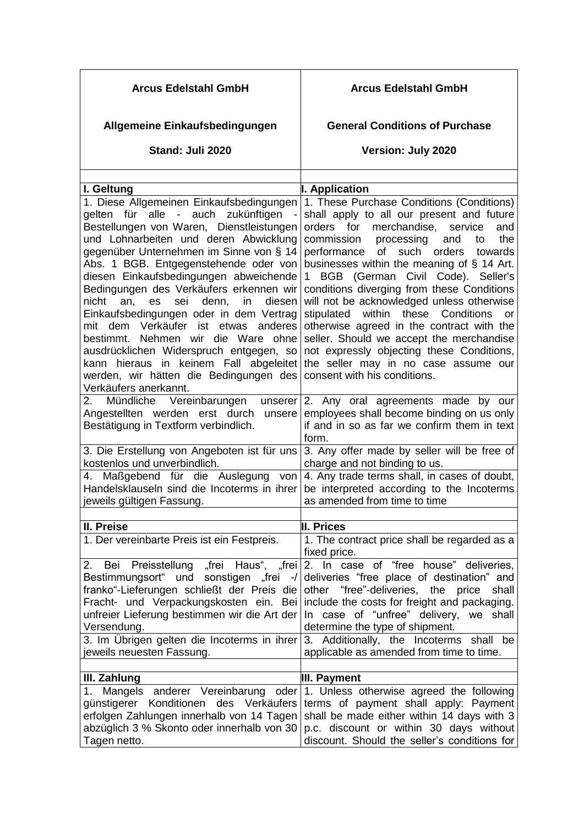| <b>Arcus Edelstahl GmbH</b>                                                                                                                                                                                                                                                                                                                                | <b>Arcus Edelstahl GmbH</b>                                                                                                                                                                                                                                                                                                                                                                       |
|------------------------------------------------------------------------------------------------------------------------------------------------------------------------------------------------------------------------------------------------------------------------------------------------------------------------------------------------------------|---------------------------------------------------------------------------------------------------------------------------------------------------------------------------------------------------------------------------------------------------------------------------------------------------------------------------------------------------------------------------------------------------|
| Allgemeine Einkaufsbedingungen                                                                                                                                                                                                                                                                                                                             | <b>General Conditions of Purchase</b>                                                                                                                                                                                                                                                                                                                                                             |
| Stand: Juli 2020                                                                                                                                                                                                                                                                                                                                           | Version: July 2020                                                                                                                                                                                                                                                                                                                                                                                |
| I. Geltung<br>1. Diese Allgemeinen Einkaufsbedingungen<br>gelten für alle - auch zukünftigen<br>Bestellungen von Waren, Dienstleistungen<br>und Lohnarbeiten und deren Abwicklung<br>gegenüber Unternehmen im Sinne von § 14<br>Abs. 1 BGB. Entgegenstehende oder von<br>diesen Einkaufsbedingungen abweichende<br>Bedingungen des Verkäufers erkennen wir | I. Application<br>1. These Purchase Conditions (Conditions)<br>shall apply to all our present and future<br>orders for merchandise, service<br>and<br>commission<br>the<br>processing<br>and<br>to<br>performance<br>of such orders<br>towards<br>businesses within the meaning of § 14 Art.<br>BGB (German Civil Code). Seller's<br>$\overline{1}$<br>conditions diverging from these Conditions |
| in<br>nicht<br>sei<br>denn,<br>diesen<br>an,<br>es<br>Einkaufsbedingungen oder in dem Vertrag<br>mit dem Verkäufer ist etwas<br>anderes<br>bestimmt. Nehmen wir die Ware ohne<br>ausdrücklichen Widerspruch entgegen, so<br>kann hieraus in keinem Fall abgeleitet<br>werden, wir hätten die Bedingungen des<br>Verkäufers anerkannt.                      | will not be acknowledged unless otherwise<br>stipulated within these<br>Conditions<br>or<br>otherwise agreed in the contract with the<br>seller. Should we accept the merchandise<br>not expressly objecting these Conditions,<br>the seller may in no case assume our<br>consent with his conditions.                                                                                            |
| Mündliche Vereinbarungen<br>2.<br>unserer<br>Angestellten werden erst durch unsere<br>Bestätigung in Textform verbindlich.                                                                                                                                                                                                                                 | 2. Any oral agreements made by our<br>employees shall become binding on us only<br>if and in so as far we confirm them in text<br>form.                                                                                                                                                                                                                                                           |
| 3. Die Erstellung von Angeboten ist für uns<br>kostenlos und unverbindlich.<br>4. Maßgebend für die Auslegung<br>von<br>Handelsklauseln sind die Incoterms in ihrer<br>jeweils gültigen Fassung.                                                                                                                                                           | 3. Any offer made by seller will be free of<br>charge and not binding to us.<br>4. Any trade terms shall, in cases of doubt,<br>be interpreted according to the Incoterms<br>as amended from time to time                                                                                                                                                                                         |
| II. Preise                                                                                                                                                                                                                                                                                                                                                 | <b>II. Prices</b>                                                                                                                                                                                                                                                                                                                                                                                 |
| 1. Der vereinbarte Preis ist ein Festpreis.                                                                                                                                                                                                                                                                                                                | 1. The contract price shall be regarded as a<br>fixed price.                                                                                                                                                                                                                                                                                                                                      |
| Bei Preisstellung "frei Haus", "frei<br>2.<br>Bestimmungsort" und sonstigen "frei<br>$-1$<br>franko"-Lieferungen schließt der Preis die<br>Fracht- und Verpackungskosten ein. Bei<br>unfreier Lieferung bestimmen wir die Art der<br>Versendung.<br>3. Im Übrigen gelten die Incoterms in ihrer<br>jeweils neuesten Fassung.                               | 2. In case of "free house" deliveries,<br>deliveries "free place of destination" and<br>"free"-deliveries, the price<br>other<br>shall<br>include the costs for freight and packaging.<br>In case of "unfree" delivery, we shall<br>determine the type of shipment.<br>3. Additionally, the Incoterms shall<br>be<br>applicable as amended from time to time.                                     |
|                                                                                                                                                                                                                                                                                                                                                            |                                                                                                                                                                                                                                                                                                                                                                                                   |
| III. Zahlung<br>1. Mangels anderer Vereinbarung oder<br>günstigerer<br>Konditionen des<br>Verkäufers<br>erfolgen Zahlungen innerhalb von 14 Tagen<br>abzüglich 3 % Skonto oder innerhalb von 30<br>Tagen netto.                                                                                                                                            | III. Payment<br>1. Unless otherwise agreed the following<br>terms of payment shall apply: Payment<br>shall be made either within 14 days with 3<br>p.c. discount or within 30 days without<br>discount. Should the seller's conditions for                                                                                                                                                        |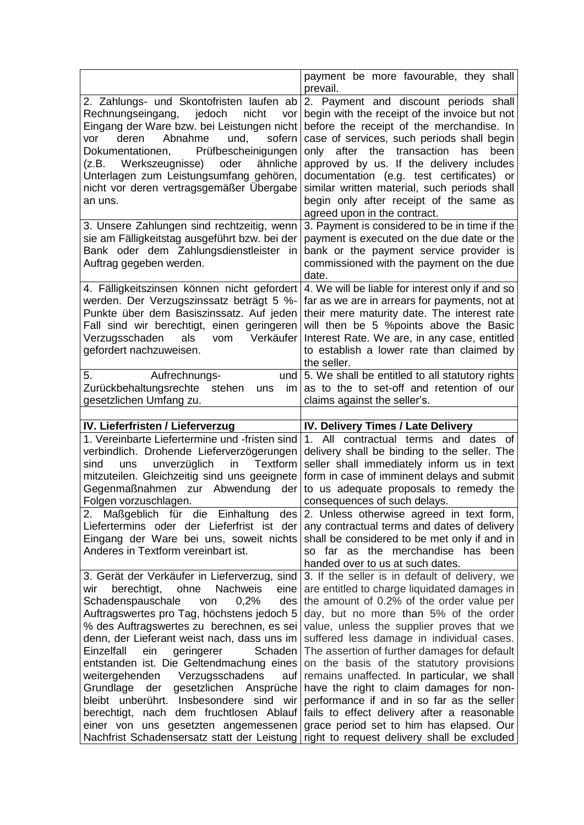|                                                                                                                                                                                                                                                                                                                                                                                                                                                                                                                                                                   | payment be more favourable, they shall<br>prevail.                                                                                                                                                                                                                                                                                                                                                                                                                                                                                    |
|-------------------------------------------------------------------------------------------------------------------------------------------------------------------------------------------------------------------------------------------------------------------------------------------------------------------------------------------------------------------------------------------------------------------------------------------------------------------------------------------------------------------------------------------------------------------|---------------------------------------------------------------------------------------------------------------------------------------------------------------------------------------------------------------------------------------------------------------------------------------------------------------------------------------------------------------------------------------------------------------------------------------------------------------------------------------------------------------------------------------|
| 2. Zahlungs- und Skontofristen laufen ab<br>Rechnungseingang,<br>jedoch<br>nicht<br>vor<br>Eingang der Ware bzw. bei Leistungen nicht<br>deren<br>Abnahme<br>und,<br>sofern<br>vor<br>Dokumentationen,<br>Prüfbescheinigungen<br>Werkszeugnisse)<br>oder<br>ähnliche<br>(z.B.<br>Unterlagen zum Leistungsumfang gehören,<br>nicht vor deren vertragsgemäßer Übergabe<br>an uns.                                                                                                                                                                                   | 2. Payment and discount periods shall<br>begin with the receipt of the invoice but not<br>before the receipt of the merchandise. In<br>case of services, such periods shall begin<br>after the<br>transaction<br>been<br>only<br>has<br>approved by us. If the delivery includes<br>documentation (e.g. test certificates) or<br>similar written material, such periods shall<br>begin only after receipt of the same as<br>agreed upon in the contract.                                                                              |
| 3. Unsere Zahlungen sind rechtzeitig, wenn<br>sie am Fälligkeitstag ausgeführt bzw. bei der<br>Bank oder dem Zahlungsdienstleister in<br>Auftrag gegeben werden.                                                                                                                                                                                                                                                                                                                                                                                                  | 3. Payment is considered to be in time if the<br>payment is executed on the due date or the<br>bank or the payment service provider is<br>commissioned with the payment on the due<br>date.                                                                                                                                                                                                                                                                                                                                           |
| 4. Fälligkeitszinsen können nicht gefordert<br>werden. Der Verzugszinssatz beträgt 5 %-<br>Punkte über dem Basiszinssatz. Auf jeden<br>Fall sind wir berechtigt, einen geringeren<br>Verkäufer<br>Verzugsschaden<br>als<br>vom<br>gefordert nachzuweisen.                                                                                                                                                                                                                                                                                                         | 4. We will be liable for interest only if and so<br>far as we are in arrears for payments, not at<br>their mere maturity date. The interest rate<br>will then be 5 %points above the Basic<br>Interest Rate. We are, in any case, entitled<br>to establish a lower rate than claimed by<br>the seller.                                                                                                                                                                                                                                |
| 5.<br>Aufrechnungs-<br>Zurückbehaltungsrechte<br>stehen<br>im<br>uns<br>gesetzlichen Umfang zu.                                                                                                                                                                                                                                                                                                                                                                                                                                                                   | und $\vert$ 5. We shall be entitled to all statutory rights<br>as to the to set-off and retention of our<br>claims against the seller's.                                                                                                                                                                                                                                                                                                                                                                                              |
|                                                                                                                                                                                                                                                                                                                                                                                                                                                                                                                                                                   |                                                                                                                                                                                                                                                                                                                                                                                                                                                                                                                                       |
|                                                                                                                                                                                                                                                                                                                                                                                                                                                                                                                                                                   |                                                                                                                                                                                                                                                                                                                                                                                                                                                                                                                                       |
| IV. Lieferfristen / Lieferverzug<br>1. Vereinbarte Liefertermine und -fristen sind<br>verbindlich. Drohende Lieferverzögerungen<br>unverzüglich<br>Textform<br>sind<br>in<br>uns<br>mitzuteilen. Gleichzeitig sind uns geeignete<br>Gegenmaßnahmen zur Abwendung<br>der<br>Folgen vorzuschlagen.<br>2. Maßgeblich für die Einhaltung des 2. Unless otherwise agreed in text form,<br>Liefertermins oder der Lieferfrist ist der<br>Eingang der Ware bei uns, soweit nichts<br>Anderes in Textform vereinbart ist.<br>3. Gerät der Verkäufer in Lieferverzug, sind | IV. Delivery Times / Late Delivery<br>1. All<br>contractual terms and<br>dates<br>Ωf<br>delivery shall be binding to the seller. The<br>seller shall immediately inform us in text<br>form in case of imminent delays and submit<br>to us adequate proposals to remedy the<br>consequences of such delays.<br>any contractual terms and dates of delivery<br>shall be considered to be met only if and in<br>so far as the merchandise has been<br>handed over to us at such dates.<br>3. If the seller is in default of delivery, we |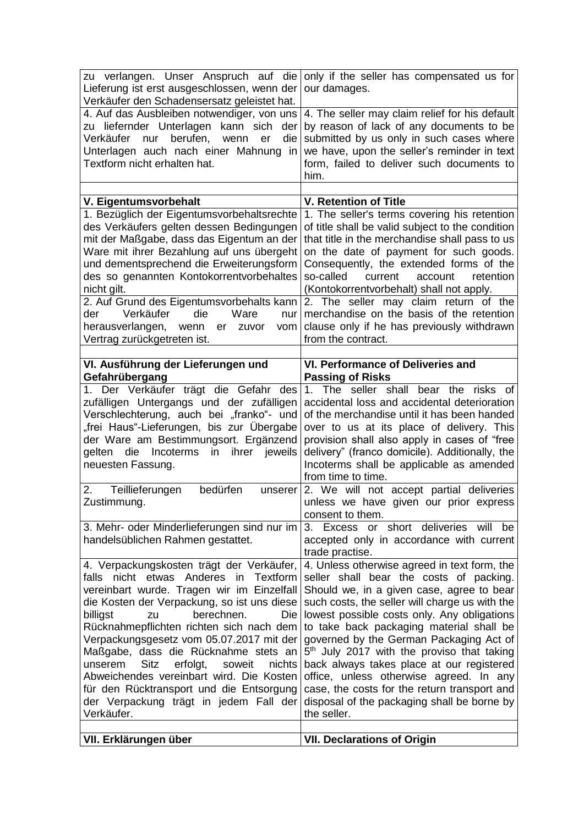| zu verlangen. Unser Anspruch auf die<br>Lieferung ist erst ausgeschlossen, wenn der<br>Verkäufer den Schadensersatz geleistet hat.                                                                                                                                                                                                                                                                                                                                                                                                                                     | only if the seller has compensated us for<br>our damages.                                                                                                                                                                                                                                                                                                                                                                                                                                                                                                                                    |
|------------------------------------------------------------------------------------------------------------------------------------------------------------------------------------------------------------------------------------------------------------------------------------------------------------------------------------------------------------------------------------------------------------------------------------------------------------------------------------------------------------------------------------------------------------------------|----------------------------------------------------------------------------------------------------------------------------------------------------------------------------------------------------------------------------------------------------------------------------------------------------------------------------------------------------------------------------------------------------------------------------------------------------------------------------------------------------------------------------------------------------------------------------------------------|
| 4. Auf das Ausbleiben notwendiger, von uns<br>zu liefernder Unterlagen kann sich<br>der<br>berufen,<br>Verkäufer<br>nur<br>die<br>wenn<br>er<br>Unterlagen auch nach einer Mahnung in<br>Textform nicht erhalten hat.                                                                                                                                                                                                                                                                                                                                                  | 4. The seller may claim relief for his default<br>by reason of lack of any documents to be<br>submitted by us only in such cases where<br>we have, upon the seller's reminder in text<br>form, failed to deliver such documents to<br>him.                                                                                                                                                                                                                                                                                                                                                   |
| V. Eigentumsvorbehalt                                                                                                                                                                                                                                                                                                                                                                                                                                                                                                                                                  | <b>V. Retention of Title</b>                                                                                                                                                                                                                                                                                                                                                                                                                                                                                                                                                                 |
| 1. Bezüglich der Eigentumsvorbehaltsrechte<br>des Verkäufers gelten dessen Bedingungen<br>mit der Maßgabe, dass das Eigentum an der<br>Ware mit ihrer Bezahlung auf uns übergeht<br>und dementsprechend die Erweiterungsform<br>des so genannten Kontokorrentvorbehaltes<br>nicht gilt.<br>2. Auf Grund des Eigentumsvorbehalts kann<br>Verkäufer<br>Ware<br>der<br>die<br>nur<br>herausverlangen, wenn<br>zuvor<br>vom<br>er<br>Vertrag zurückgetreten ist.                                                                                                           | 1. The seller's terms covering his retention<br>of title shall be valid subject to the condition<br>that title in the merchandise shall pass to us<br>on the date of payment for such goods.<br>Consequently, the extended forms of the<br>so-called<br>current<br>retention<br>account<br>(Kontokorrentvorbehalt) shall not apply.<br>2. The seller may claim return of the<br>merchandise on the basis of the retention<br>clause only if he has previously withdrawn<br>from the contract.                                                                                                |
| VI. Ausführung der Lieferungen und<br>Gefahrübergang                                                                                                                                                                                                                                                                                                                                                                                                                                                                                                                   | <b>VI. Performance of Deliveries and</b><br><b>Passing of Risks</b>                                                                                                                                                                                                                                                                                                                                                                                                                                                                                                                          |
| 1. Der Verkäufer trägt die Gefahr des<br>zufälligen Untergangs und der zufälligen<br>Verschlechterung, auch bei "franko"- und<br>"frei Haus"-Lieferungen, bis zur Übergabe<br>der Ware am Bestimmungsort. Ergänzend<br>ihrer jeweils<br>gelten<br>Incoterms<br>in<br>die<br>neuesten Fassung.                                                                                                                                                                                                                                                                          | 1. The seller shall bear the risks of<br>accidental loss and accidental deterioration<br>of the merchandise until it has been handed<br>over to us at its place of delivery. This<br>provision shall also apply in cases of "free<br>delivery" (franco domicile). Additionally, the<br>Incoterms shall be applicable as amended<br>from time to time.                                                                                                                                                                                                                                        |
| bedürfen<br>2.<br>Teillieferungen<br>unserer<br>Zustimmung.                                                                                                                                                                                                                                                                                                                                                                                                                                                                                                            | 2. We will not accept partial deliveries<br>unless we have given our prior express<br>consent to them.                                                                                                                                                                                                                                                                                                                                                                                                                                                                                       |
| 3. Mehr- oder Minderlieferungen sind nur im<br>handelsüblichen Rahmen gestattet.                                                                                                                                                                                                                                                                                                                                                                                                                                                                                       | 3. Excess or short deliveries will<br>be<br>accepted only in accordance with current<br>trade practise.                                                                                                                                                                                                                                                                                                                                                                                                                                                                                      |
| 4. Verpackungskosten trägt der Verkäufer,<br>nicht etwas Anderes in<br>Textform<br>falls<br>vereinbart wurde. Tragen wir im Einzelfall<br>die Kosten der Verpackung, so ist uns diese<br>berechnen.<br>billigst<br>Die<br>zu<br>Rücknahmepflichten richten sich nach dem<br>Verpackungsgesetz vom 05.07.2017 mit der<br>Maßgabe, dass die Rücknahme stets an<br><b>Sitz</b><br>erfolgt,<br>soweit<br>nichts<br>unserem<br>Abweichendes vereinbart wird. Die Kosten<br>für den Rücktransport und die Entsorgung<br>der Verpackung trägt in jedem Fall der<br>Verkäufer. | 4. Unless otherwise agreed in text form, the<br>seller shall bear the costs of packing.<br>Should we, in a given case, agree to bear<br>such costs, the seller will charge us with the<br>lowest possible costs only. Any obligations<br>to take back packaging material shall be<br>governed by the German Packaging Act of<br>5 <sup>th</sup> July 2017 with the proviso that taking<br>back always takes place at our registered<br>office, unless otherwise agreed. In any<br>case, the costs for the return transport and<br>disposal of the packaging shall be borne by<br>the seller. |
|                                                                                                                                                                                                                                                                                                                                                                                                                                                                                                                                                                        | <b>VII. Declarations of Origin</b>                                                                                                                                                                                                                                                                                                                                                                                                                                                                                                                                                           |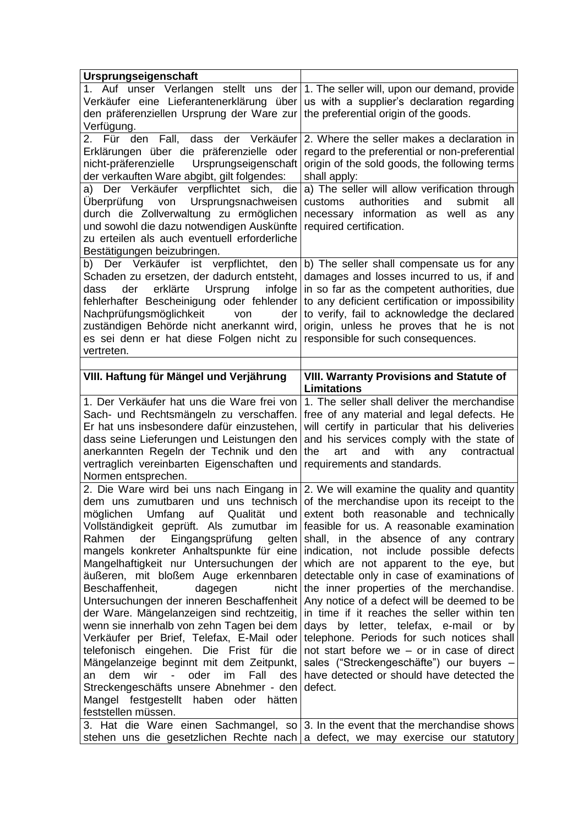| Ursprungseigenschaft                                                                                                                                                                                                                                                                                                                                                                                                                                                                                                                                                                                                                    |                                                                                                                                                                                                                                                                                                                                                                                                                                                                                                                                                                                                   |
|-----------------------------------------------------------------------------------------------------------------------------------------------------------------------------------------------------------------------------------------------------------------------------------------------------------------------------------------------------------------------------------------------------------------------------------------------------------------------------------------------------------------------------------------------------------------------------------------------------------------------------------------|---------------------------------------------------------------------------------------------------------------------------------------------------------------------------------------------------------------------------------------------------------------------------------------------------------------------------------------------------------------------------------------------------------------------------------------------------------------------------------------------------------------------------------------------------------------------------------------------------|
| 1. Auf unser Verlangen stellt uns der 1. The seller will, upon our demand, provide<br>Verkäufer eine Lieferantenerklärung über<br>den präferenziellen Ursprung der Ware zur<br>Verfügung.                                                                                                                                                                                                                                                                                                                                                                                                                                               | us with a supplier's declaration regarding<br>the preferential origin of the goods.                                                                                                                                                                                                                                                                                                                                                                                                                                                                                                               |
| 2. Für den Fall,<br>dass der Verkäufer<br>Erklärungen über die präferenzielle oder<br>nicht-präferenzielle<br>Ursprungseigenschaft<br>der verkauften Ware abgibt, gilt folgendes:<br>a) Der Verkäufer verpflichtet sich, die<br>Ursprungsnachweisen<br>Überprüfung<br>von                                                                                                                                                                                                                                                                                                                                                               | 2. Where the seller makes a declaration in<br>regard to the preferential or non-preferential<br>origin of the sold goods, the following terms<br>shall apply:<br>a) The seller will allow verification through<br>authorities<br>customs<br>and<br>submit<br>all                                                                                                                                                                                                                                                                                                                                  |
| durch die Zollverwaltung zu ermöglichen<br>und sowohl die dazu notwendigen Auskünfte<br>zu erteilen als auch eventuell erforderliche<br>Bestätigungen beizubringen.                                                                                                                                                                                                                                                                                                                                                                                                                                                                     | necessary information as well as<br>any<br>required certification.                                                                                                                                                                                                                                                                                                                                                                                                                                                                                                                                |
| b) Der Verkäufer ist verpflichtet,<br>den<br>Schaden zu ersetzen, der dadurch entsteht,<br>der<br>erklärte<br>Ursprung<br>infolge<br>dass<br>fehlerhafter Bescheinigung oder fehlender<br>Nachprüfungsmöglichkeit<br>von<br>der<br>zuständigen Behörde nicht anerkannt wird,<br>es sei denn er hat diese Folgen nicht zu<br>vertreten.                                                                                                                                                                                                                                                                                                  | b) The seller shall compensate us for any<br>damages and losses incurred to us, if and<br>in so far as the competent authorities, due<br>to any deficient certification or impossibility<br>to verify, fail to acknowledge the declared<br>origin, unless he proves that he is not<br>responsible for such consequences.                                                                                                                                                                                                                                                                          |
| VIII. Haftung für Mängel und Verjährung                                                                                                                                                                                                                                                                                                                                                                                                                                                                                                                                                                                                 | <b>VIII. Warranty Provisions and Statute of</b>                                                                                                                                                                                                                                                                                                                                                                                                                                                                                                                                                   |
|                                                                                                                                                                                                                                                                                                                                                                                                                                                                                                                                                                                                                                         | <b>Limitations</b>                                                                                                                                                                                                                                                                                                                                                                                                                                                                                                                                                                                |
| 1. Der Verkäufer hat uns die Ware frei von<br>Sach- und Rechtsmängeln zu verschaffen.<br>Er hat uns insbesondere dafür einzustehen,<br>dass seine Lieferungen und Leistungen den<br>anerkannten Regeln der Technik und den<br>vertraglich vereinbarten Eigenschaften und<br>Normen entsprechen.                                                                                                                                                                                                                                                                                                                                         | 1. The seller shall deliver the merchandise<br>free of any material and legal defects. He<br>will certify in particular that his deliveries<br>and his services comply with the state of<br>with<br>the<br>art<br>and<br>any<br>contractual<br>requirements and standards.                                                                                                                                                                                                                                                                                                                        |
| 2. Die Ware wird bei uns nach Eingang in 2. We will examine the quality and quantity<br>dem uns zumutbaren und uns technisch of the merchandise upon its receipt to the<br>Rahmen<br>der<br>mangels konkreter Anhaltspunkte für eine indication, not include possible defects<br>äußeren, mit bloßem Auge erkennbaren detectable only in case of examinations of<br>Beschaffenheit,<br>dagegen<br>nicht<br>Untersuchungen der inneren Beschaffenheit<br>der Ware. Mängelanzeigen sind rechtzeitig,<br>wenn sie innerhalb von zehn Tagen bei dem<br>Verkäufer per Brief, Telefax, E-Mail oder<br>telefonisch eingehen. Die Frist für die | möglichen Umfang auf Qualität und extent both reasonable and technically<br>Vollständigkeit geprüft. Als zumutbar im feasible for us. A reasonable examination<br>Eingangsprüfung gelten shall, in the absence of any contrary<br>Mangelhaftigkeit nur Untersuchungen der which are not apparent to the eye, but<br>the inner properties of the merchandise.<br>Any notice of a defect will be deemed to be<br>in time if it reaches the seller within ten<br>days by letter, telefax, e-mail or<br>by<br>telephone. Periods for such notices shall<br>not start before we - or in case of direct |
| Mängelanzeige beginnt mit dem Zeitpunkt,<br>oder<br>im<br>Fall<br>dem<br>wir<br><b>Contract Contract</b><br>des<br>an<br>Streckengeschäfts unsere Abnehmer - den<br>Mangel festgestellt haben oder hätten<br>feststellen müssen.<br>3. Hat die Ware einen Sachmangel, so 3. In the event that the merchandise shows                                                                                                                                                                                                                                                                                                                     | sales ("Streckengeschäfte") our buyers -<br>have detected or should have detected the<br>defect.                                                                                                                                                                                                                                                                                                                                                                                                                                                                                                  |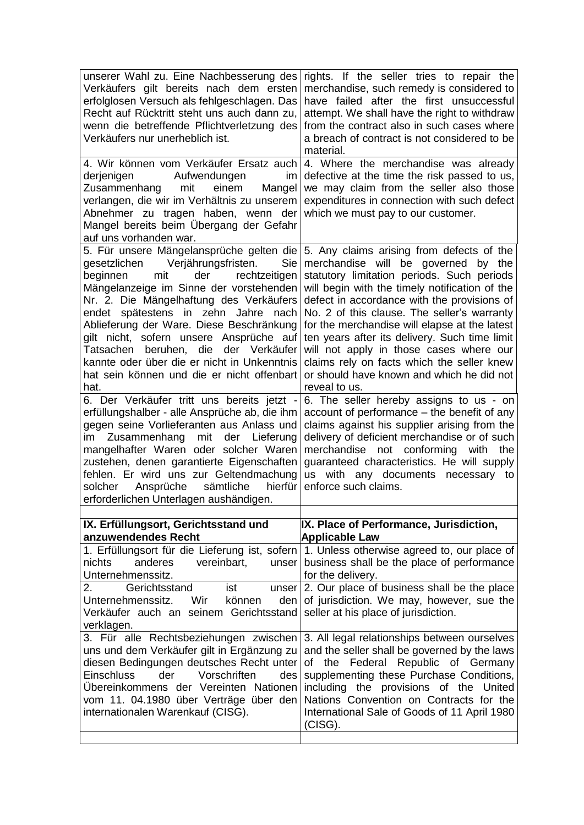| unserer Wahl zu. Eine Nachbesserung des<br>Verkäufers gilt bereits nach dem ersten<br>erfolglosen Versuch als fehlgeschlagen. Das<br>Recht auf Rücktritt steht uns auch dann zu,<br>wenn die betreffende Pflichtverletzung des<br>Verkäufers nur unerheblich ist.                                                                                                                                                                                                                                                                                                                                                                                                                                                                                                                                                                                                                                                                                       | rights. If the seller tries to repair the<br>merchandise, such remedy is considered to<br>have failed after the first unsuccessful<br>attempt. We shall have the right to withdraw<br>from the contract also in such cases where<br>a breach of contract is not considered to be<br>material.                                                                                                                                                                                                                                                                                                                                                                                                                                                                                                                                           |
|---------------------------------------------------------------------------------------------------------------------------------------------------------------------------------------------------------------------------------------------------------------------------------------------------------------------------------------------------------------------------------------------------------------------------------------------------------------------------------------------------------------------------------------------------------------------------------------------------------------------------------------------------------------------------------------------------------------------------------------------------------------------------------------------------------------------------------------------------------------------------------------------------------------------------------------------------------|-----------------------------------------------------------------------------------------------------------------------------------------------------------------------------------------------------------------------------------------------------------------------------------------------------------------------------------------------------------------------------------------------------------------------------------------------------------------------------------------------------------------------------------------------------------------------------------------------------------------------------------------------------------------------------------------------------------------------------------------------------------------------------------------------------------------------------------------|
| 4. Wir können vom Verkäufer Ersatz auch<br>derjenigen Aufwendungen<br>im<br>Zusammenhang<br>mit<br>einem<br>Mangel<br>verlangen, die wir im Verhältnis zu unserem<br>Abnehmer zu tragen haben, wenn der<br>Mangel bereits beim Übergang der Gefahr<br>auf uns vorhanden war.                                                                                                                                                                                                                                                                                                                                                                                                                                                                                                                                                                                                                                                                            | 4. Where the merchandise was already<br>defective at the time the risk passed to us,<br>we may claim from the seller also those<br>expenditures in connection with such defect<br>which we must pay to our customer.                                                                                                                                                                                                                                                                                                                                                                                                                                                                                                                                                                                                                    |
| 5. Für unsere Mängelansprüche gelten die 5. Any claims arising from defects of the<br>Verjährungsfristen.<br>Sie<br>gesetzlichen<br>der rechtzeitigen<br>beginnen<br>mit<br>Mängelanzeige im Sinne der vorstehenden<br>Nr. 2. Die Mängelhaftung des Verkäufers<br>endet spätestens in zehn Jahre nach<br>Ablieferung der Ware. Diese Beschränkung<br>gilt nicht, sofern unsere Ansprüche auf<br>Tatsachen beruhen, die der Verkäufer<br>kannte oder über die er nicht in Unkenntnis<br>hat sein können und die er nicht offenbart<br>hat.<br>6. Der Verkäufer tritt uns bereits jetzt -<br>erfüllungshalber - alle Ansprüche ab, die ihm<br>gegen seine Vorlieferanten aus Anlass und<br>Zusammenhang mit der Lieferung<br>im<br>mangelhafter Waren oder solcher Waren<br>zustehen, denen garantierte Eigenschaften<br>fehlen. Er wird uns zur Geltendmachung<br>Ansprüche<br>sämtliche<br>hierfür<br>solcher<br>erforderlichen Unterlagen aushändigen. | merchandise will be governed by the<br>statutory limitation periods. Such periods<br>will begin with the timely notification of the<br>defect in accordance with the provisions of<br>No. 2 of this clause. The seller's warranty<br>for the merchandise will elapse at the latest<br>ten years after its delivery. Such time limit<br>will not apply in those cases where our<br>claims rely on facts which the seller knew<br>or should have known and which he did not<br>reveal to us.<br>6. The seller hereby assigns to us - on<br>account of performance – the benefit of any<br>claims against his supplier arising from the<br>delivery of deficient merchandise or of such<br>merchandise not conforming with the<br>guaranteed characteristics. He will supply<br>us with any documents necessary to<br>enforce such claims. |
| IX. Erfüllungsort, Gerichtsstand und<br>anzuwendendes Recht                                                                                                                                                                                                                                                                                                                                                                                                                                                                                                                                                                                                                                                                                                                                                                                                                                                                                             | IX. Place of Performance, Jurisdiction,<br><b>Applicable Law</b>                                                                                                                                                                                                                                                                                                                                                                                                                                                                                                                                                                                                                                                                                                                                                                        |
| 1. Erfüllungsort für die Lieferung ist, sofern<br>anderes<br>vereinbart,<br>nichts<br>unser<br>Unternehmenssitz.<br>Gerichtsstand<br>2.<br>unser<br>ist<br>können<br>Unternehmenssitz.<br>Wir<br>den<br>Verkäufer auch an seinem Gerichtsstand<br>verklagen.                                                                                                                                                                                                                                                                                                                                                                                                                                                                                                                                                                                                                                                                                            | 1. Unless otherwise agreed to, our place of<br>business shall be the place of performance<br>for the delivery.<br>2. Our place of business shall be the place<br>of jurisdiction. We may, however, sue the<br>seller at his place of jurisdiction.                                                                                                                                                                                                                                                                                                                                                                                                                                                                                                                                                                                      |
| 3. Für alle Rechtsbeziehungen zwischen<br>uns und dem Verkäufer gilt in Ergänzung zu<br>diesen Bedingungen deutsches Recht unter<br>der<br>Vorschriften<br><b>Einschluss</b><br>des<br>Ubereinkommens der Vereinten Nationen<br>vom 11. 04.1980 über Verträge über den<br>internationalen Warenkauf (CISG).                                                                                                                                                                                                                                                                                                                                                                                                                                                                                                                                                                                                                                             | 3. All legal relationships between ourselves<br>and the seller shall be governed by the laws<br>Federal Republic of Germany<br>of the<br>supplementing these Purchase Conditions,<br>including the provisions of the United<br>Nations Convention on Contracts for the<br>International Sale of Goods of 11 April 1980<br>(CISG).                                                                                                                                                                                                                                                                                                                                                                                                                                                                                                       |